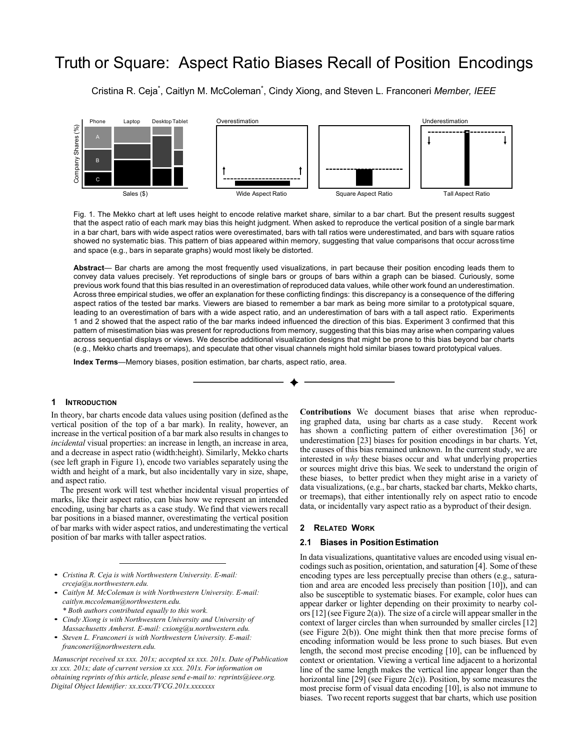# Truth or Square: Aspect Ratio Biases Recall of Position Encodings

Cristina R. Ceja<sup>\*</sup>, Caitlyn M. McColeman<sup>\*</sup>, Cindy Xiong, and Steven L. Franconeri Member, IEEE



Fig. 1. The Mekko chart at left uses height to encode relative market share, similar to a bar chart. But the present results suggest that the aspect ratio of each mark may bias this height judgment. When asked to reproduce the vertical position of a single barmark in a bar chart, bars with wide aspect ratios were overestimated, bars with tall ratios were underestimated, and bars with square ratios showed no systematic bias. This pattern of bias appeared within memory, suggesting that value comparisons that occur across time and space (e.g., bars in separate graphs) would most likely be distorted.

**Abstract**— Bar charts are among the most frequently used visualizations, in part because their position encoding leads them to convey data values precisely. Yet reproductions of single bars or groups of bars within a graph can be biased. Curiously, some previous work found that this bias resulted in an overestimation of reproduced data values, while other work found an underestimation. Across three empirical studies, we offer an explanation for these conflicting findings: this discrepancy is a consequence of the differing aspect ratios of the tested bar marks. Viewers are biased to remember a bar mark as being more similar to a prototypical square, leading to an overestimation of bars with a wide aspect ratio, and an underestimation of bars with a tall aspect ratio. Experiments 1 and 2 showed that the aspect ratio of the bar marks indeed influenced the direction of this bias. Experiment 3 confirmed that this pattern of misestimation bias was present for reproductions from memory, suggesting that this bias may arise when comparing values across sequential displays or views. We describe additional visualization designs that might be prone to this bias beyond bar charts (e.g., Mekko charts and treemaps), and speculate that other visual channels might hold similar biases toward prototypical values.

**Index Terms**—Memory biases, position estimation, bar charts, aspect ratio, area.

## **1 INTRODUCTION**

In theory, bar charts encode data values using position (defined asthe vertical position of the top of a bar mark). In reality, however, an increase in the vertical position of a bar mark also results in changes to *incidental* visual properties: an increase in length, an increase in area, and a decrease in aspect ratio (width:height). Similarly, Mekko charts (see left graph in Figure 1), encode two variables separately using the width and height of a mark, but also incidentally vary in size, shape, and aspect ratio.

The present work will test whether incidental visual properties of marks, like their aspect ratio, can bias how we represent an intended encoding, using bar charts as a case study. We find that viewers recall bar positions in a biased manner, overestimating the vertical position of bar marks with wider aspect ratios, and underestimating the vertical position of bar marks with taller aspectratios.

- *Cristina R. Ceja is with Northwestern University. E-mail: • crceja@u.northwestern.edu.*
- *Caitlyn M. McColeman is with Northwestern University. E-mail: • caitlyn.mccoleman@northwestern.edu.*
- *\* Both authors contributed equally to this work. Cindy Xiong is with Northwestern University and University of •*
- *Massachusetts Amherst. E-mail: cxiong@u.northwestern.edu. Steven L. Franconeri is with Northwestern University. E-mail: •franconeri@northwestern.edu.*

*Manuscript received xx xxx. 201x; accepted xx xxx. 201x. Date of Publication xx xxx. 201x; date of current version xx xxx. 201x. For information on obtaining reprints of this article, please send e-mail to: reprints@ieee.org. Digital Object Identifier: xx.xxxx/TVCG.201x.xxxxxxx*

**Contributions** We document biases that arise when reproducing graphed data, using bar charts as a case study. Recent work has shown a conflicting pattern of either overestimation [36] or underestimation [23] biases for position encodings in bar charts. Yet, the causes of this bias remained unknown. In the current study, we are interested in *why* these biases occur and what underlying properties or sources might drive this bias. We seek to understand the origin of these biases, to better predict when they might arise in a variety of data visualizations, (e.g., bar charts, stacked bar charts, Mekko charts, or treemaps), that either intentionally rely on aspect ratio to encode data, or incidentally vary aspect ratio as a byproduct of their design.

## **2 RELATED WORK**

## **2.1 Biases in PositionEstimation**

In data visualizations, quantitative values are encoded using visual encodings such as position, orientation, and saturation [4]. Some of these encoding types are less perceptually precise than others (e.g., saturation and area are encoded less precisely than position [10]), and can also be susceptible to systematic biases. For example, color hues can appear darker or lighter depending on their proximity to nearby colors  $[12]$  (see Figure 2(a)). The size of a circle will appear smaller in the context of larger circles than when surrounded by smaller circles [12] (see Figure 2(b)). One might think then that more precise forms of encoding information would be less prone to such biases. But even length, the second most precise encoding [10], can be influenced by context or orientation. Viewing a vertical line adjacent to a horizontal line of the same length makes the vertical line appear longer than the horizontal line [29] (see Figure 2(c)). Position, by some measures the most precise form of visual data encoding [10], is also not immune to biases. Two recent reports suggest that bar charts, which use position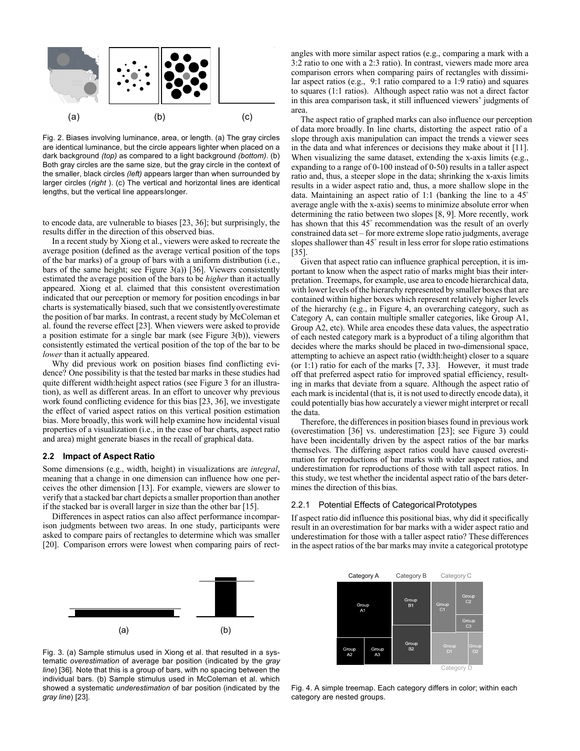

Fig. 2. Biases involving luminance, area, or length. (a) The gray circles are identical luminance, but the circle appears lighter when placed on a dark background *(top)* as compared to a light background *(bottom)*. (b) Both gray circles are the same size, but the gray circle in the context of the smaller, black circles *(left)* appears larger than when surrounded by larger circles (*right* ). (c) The vertical and horizontal lines are identical lengths, but the vertical line appearslonger.

to encode data, are vulnerable to biases [23, 36]; but surprisingly, the results differ in the direction of this observed bias.

In a recent study by Xiong et al., viewers were asked to recreate the average position (defined as the average vertical position of the tops of the bar marks) of a group of bars with a uniform distribution (i.e., bars of the same height; see Figure  $3(a)$ ) [36]. Viewers consistently estimated the average position of the bars to be *higher* than it actually appeared. Xiong et al. claimed that this consistent overestimation indicated that our perception or memory for position encodings in bar charts is systematically biased, such that we consistentlyoverestimate the position of bar marks. In contrast, a recent study by McColeman et al. found the reverse effect [23]. When viewers were asked to provide a position estimate for a single bar mark (see Figure 3(b)), viewers consistently estimated the vertical position of the top of the bar to be *lower* than it actually appeared.

Why did previous work on position biases find conflicting evidence? One possibility is that the tested bar marks in these studies had quite different width:height aspect ratios (see Figure 3 for an illustration), as well as different areas. In an effort to uncover why previous work found conflicting evidence for this bias [23, 36], we investigate the effect of varied aspect ratios on this vertical position estimation bias. More broadly, this work will help examine how incidental visual properties of a visualization (i.e., in the case of bar charts, aspect ratio and area) might generate biases in the recall of graphical data.

## **2.2 Impact of Aspect Ratio**

Some dimensions (e.g., width, height) in visualizations are *integral*, meaning that a change in one dimension can influence how one perceives the other dimension [13]. For example, viewers are slower to verify that a stacked bar chart depicts a smaller proportion than another if the stacked bar is overall larger in size than the other bar [15].

Differences in aspect ratios can also affect performance incomparison judgments between two areas. In one study, participants were asked to compare pairs of rectangles to determine which was smaller [20]. Comparison errors were lowest when comparing pairs of rect-

angles with more similar aspect ratios (e.g., comparing a mark with a 3:2 ratio to one with a 2:3 ratio). In contrast, viewers made more area comparison errors when comparing pairs of rectangles with dissimilar aspect ratios (e.g., 9:1 ratio compared to a 1:9 ratio) and squares to squares (1:1 ratios). Although aspect ratio was not a direct factor in this area comparison task, it still influenced viewers' judgments of area.

The aspect ratio of graphed marks can also influence our perception of data more broadly. In line charts, distorting the aspect ratio of a slope through axis manipulation can impact the trends a viewer sees in the data and what inferences or decisions they make about it [11]. When visualizing the same dataset, extending the x-axis limits (e.g., expanding to a range of 0-100 instead of 0-50) results in a taller aspect ratio and, thus, a steeper slope in the data; shrinking the x-axis limits results in a wider aspect ratio and, thus, a more shallow slope in the data. Maintaining an aspect ratio of 1:1 (banking the line to a 45*◦*  average angle with the x-axis) seems to minimize absolute error when determining the ratio between two slopes [8, 9]. More recently, work has shown that this 45*◦* recommendation was the result of an overly constrained data set – for more extreme slope ratio judgments, average slopes shallower than 45*◦* result in less error for slope ratio estimations [35].

Given that aspect ratio can influence graphical perception, it is important to know when the aspect ratio of marks might bias their interpretation. Treemaps, for example, use area to encode hierarchical data, with lower levels of the hierarchy represented by smaller boxes that are contained within higher boxes which represent relatively higher levels of the hierarchy (e.g., in Figure 4, an overarching category, such as Category A, can contain multiple smaller categories, like Group A1, Group A2, etc). While area encodes these data values, the aspectratio of each nested category mark is a byproduct of a tiling algorithm that decides where the marks should be placed in two-dimensional space, attempting to achieve an aspect ratio (width:height) closer to a square (or 1:1) ratio for each of the marks [7, 33]. However, it must trade off that preferred aspect ratio for improved spatial efficiency, resulting in marks that deviate from a square. Although the aspect ratio of each mark is incidental (that is, it is not used to directly encode data), it could potentially bias how accurately a viewer might interpret or recall the data.

Therefore, the differences in position biases found in previous work (overestimation [36] vs. underestimation [23]; see Figure 3) could have been incidentally driven by the aspect ratios of the bar marks themselves. The differing aspect ratios could have caused overestimation for reproductions of bar marks with wider aspect ratios, and underestimation for reproductions of those with tall aspect ratios. In this study, we test whether the incidental aspect ratio of the bars determines the direction of this bias.

## 2.2.1 Potential Effects of CategoricalPrototypes

If aspect ratio did influence this positional bias, why did it specifically result in an overestimation for bar marks with a wider aspect ratio and underestimation for those with a taller aspect ratio? These differences in the aspect ratios of the bar marks may invite a categorical prototype



Fig. 3. (a) Sample stimulus used in Xiong et al. that resulted in a systematic *overestimation* of average bar position (indicated by the *gray line*) [36]. Note that this is a group of bars, with no spacing between the individual bars. (b) Sample stimulus used in McColeman et al. which showed a systematic *underestimation* of bar position (indicated by the *gray line*) [23].



Fig. 4. A simple treemap. Each category differs in color; within each category are nested groups.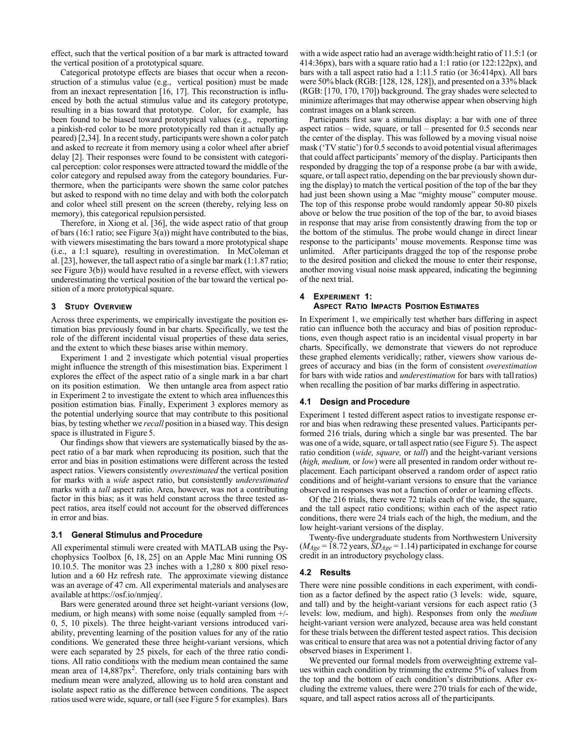effect, such that the vertical position of a bar mark is attracted toward the vertical position of a prototypical square.

Categorical prototype effects are biases that occur when a reconstruction of a stimulus value (e.g., vertical position) must be made from an inexact representation [16, 17]. This reconstruction is influenced by both the actual stimulus value and its category prototype, resulting in a bias toward that prototype. Color, for example, has been found to be biased toward prototypical values (e.g., reporting a pinkish-red color to be more prototypically red than it actually appeared) [2,34]. In a recent study, participants were shown a color patch and asked to recreate it from memory using a color wheel after abrief delay [2]. Their responses were found to be consistent with categorical perception: color responses were attracted toward the middle of the color category and repulsed away from the category boundaries. Furthermore, when the participants were shown the same color patches but asked to respond with no time delay and with both the colorpatch and color wheel still present on the screen (thereby, relying less on memory), this categorical repulsion persisted.

Therefore, in Xiong et al. [36], the wide aspect ratio of that group of bars (16:1 ratio; see Figure 3(a)) might have contributed to the bias, with viewers misestimating the bars toward a more prototypical shape (i.e., a 1:1 square), resulting in overestimation. In McColeman et al. [23], however, the tall aspect ratio of a single bar mark (1:1.87 ratio; see Figure 3(b)) would have resulted in a reverse effect, with viewers underestimating the vertical position of the bar toward the vertical position of a more prototypical square.

## **3 STUDY OVERVIEW**

Across three experiments, we empirically investigate the position estimation bias previously found in bar charts. Specifically, we test the role of the different incidental visual properties of these data series, and the extent to which these biases arise within memory.

Experiment 1 and 2 investigate which potential visual properties might influence the strength of this misestimation bias. Experiment 1 explores the effect of the aspect ratio of a single mark in a bar chart on its position estimation. We then untangle area from aspect ratio in Experiment 2 to investigate the extent to which area influencesthis position estimation bias. Finally, Experiment 3 explores memory as the potential underlying source that may contribute to this positional bias, by testing whether we *recall* position in a biased way. This design space is illustrated in Figure 5.

Our findings show that viewers are systematically biased by the aspect ratio of a bar mark when reproducing its position, such that the error and bias in position estimations were different across the tested aspect ratios. Viewers consistently *overestimated* the vertical position for marks with a *wide* aspect ratio, but consistently *underestimated*  marks with a *tall* aspect ratio. Area, however, was not a contributing factor in this bias; as it was held constant across the three tested aspect ratios, area itself could not account for the observed differences in error and bias.

## **3.1 General Stimulus andProcedure**

All experimental stimuli were created with MATLAB using the Psychophysics Toolbox [6, 18, 25] on an Apple Mac Mini running OS 10.10.5. The monitor was 23 inches with a 1,280 x 800 pixel resolution and a 60 Hz refresh rate. The approximate viewing distance was an average of 47 cm. All experimental materials and analyses are available at https://osf.io/nmjeq/.

Bars were generated around three set height-variant versions (low, medium, or high means) with some noise (equally sampled from +/- 0, 5, 10 pixels). The three height-variant versions introduced variability, preventing learning of the position values for any of the ratio conditions. We generated these three height-variant versions, which were each separated by 25 pixels, for each of the three ratio conditions. All ratio conditions with the medium mean contained the same mean area of 14,887px<sup>2</sup>. Therefore, only trials containing bars with medium mean were analyzed, allowing us to hold area constant and isolate aspect ratio as the difference between conditions. The aspect ratios used were wide, square, or tall (see Figure 5 for examples). Bars

with a wide aspect ratio had an average width:height ratio of 11.5:1 (or 414:36px), bars with a square ratio had a 1:1 ratio (or 122:122px), and bars with a tall aspect ratio had a 1:11.5 ratio (or 36:414px). All bars were 50% black (RGB: [128, 128, 128]), and presented on a 33% black (RGB: [170, 170, 170]) background. The gray shades were selected to minimize afterimages that may otherwise appear when observing high contrast images on a blank screen.

Participants first saw a stimulus display: a bar with one of three aspect ratios – wide, square, or tall – presented for 0.5 seconds near the center of the display. This was followed by a moving visual noise mask ('TV static') for 0.5 seconds to avoid potential visual afterimages that could affect participants' memory of the display. Participants then responded by dragging the top of a response probe (a bar with awide, square, or tall aspect ratio, depending on the bar previously shown during the display) to match the vertical position of the top of the bar they had just been shown using a Mac "mighty mouse" computer mouse. The top of this response probe would randomly appear 50-80 pixels above or below the true position of the top of the bar, to avoid biases in response that may arise from consistently drawing from the top or the bottom of the stimulus. The probe would change in direct linear response to the participants' mouse movements. Response time was unlimited. After participants dragged the top of the response probe to the desired position and clicked the mouse to enter their response, another moving visual noise mask appeared, indicating the beginning of the next trial.

## **4 EXPERIMENT 1: ASPECT RATIO IMPACTS POSITION ESTIMATES**

In Experiment 1, we empirically test whether bars differing in aspect ratio can influence both the accuracy and bias of position reproductions, even though aspect ratio is an incidental visual property in bar charts. Specifically, we demonstrate that viewers do not reproduce these graphed elements veridically; rather, viewers show various degrees of accuracy and bias (in the form of consistent *overestimation*  for bars with wide ratios and *underestimation* for bars with tallratios) when recalling the position of bar marks differing in aspectratio.

## **4.1 Design and Procedure**

Experiment 1 tested different aspect ratios to investigate response error and bias when redrawing these presented values. Participants performed 216 trials, during which a single bar was presented. The bar was one of a wide, square, or tall aspect ratio (see Figure 5). The aspect ratio condition (*wide, square,* or *tall*) and the height-variant versions (*high, medium,* or *low*) were all presented in random order without replacement. Each participant observed a random order of aspect ratio conditions and of height-variant versions to ensure that the variance observed in responses was not a function of order or learning effects.

Of the 216 trials, there were 72 trials each of the wide, the square, and the tall aspect ratio conditions; within each of the aspect ratio conditions, there were 24 trials each of the high, the medium, and the low height-variant versions of the display.

Twenty-five undergraduate students from Northwestern University  $(M_{Age} = 18.72 \text{ years}, \text{SD}_{Age} = 1.14)$  participated in exchange for course credit in an introductory psychology class.

## **4.2 Results**

There were nine possible conditions in each experiment, with condition as a factor defined by the aspect ratio (3 levels: wide, square, and tall) and by the height-variant versions for each aspect ratio (3 levels: low, medium, and high). Responses from only the *medium*  height-variant version were analyzed, because area was held constant for these trials between the different tested aspect ratios. This decision was critical to ensure that area was not a potential driving factor of any observed biases in Experiment 1.

We prevented our formal models from overweighting extreme values within each condition by trimming the extreme 5% of values from the top and the bottom of each condition's distributions. After excluding the extreme values, there were 270 trials for each of thewide, square, and tall aspect ratios across all of the participants.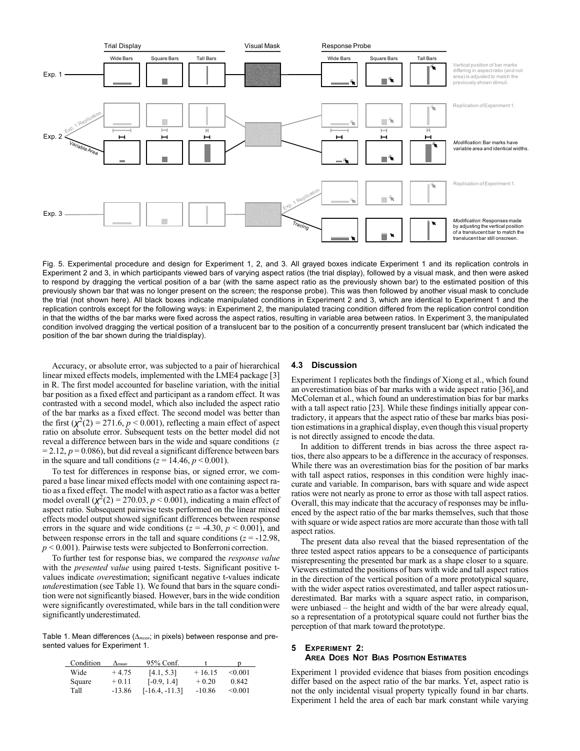

Fig. 5. Experimental procedure and design for Experiment 1, 2, and 3. All grayed boxes indicate Experiment 1 and its replication controls in Experiment 2 and 3, in which participants viewed bars of varying aspect ratios (the trial display), followed by a visual mask, and then were asked to respond by dragging the vertical position of a bar (with the same aspect ratio as the previously shown bar) to the estimated position of this previously shown bar that was no longer present on the screen; the response probe). This was then followed by another visual mask to conclude the trial (not shown here). All black boxes indicate manipulated conditions in Experiment 2 and 3, which are identical to Experiment 1 and the replication controls except for the following ways: in Experiment 2, the manipulated tracing condition differed from the replication control condition in that the widths of the bar marks were fixed across the aspect ratios, resulting in variable area between ratios. In Experiment 3, the manipulated condition involved dragging the vertical position of a translucent bar to the position of a concurrently present translucent bar (which indicated the position of the bar shown during the trialdisplay).

Accuracy, or absolute error, was subjected to a pair of hierarchical linear mixed effects models, implemented with the LME4 package [3] in R. The first model accounted for baseline variation, with the initial bar position as a fixed effect and participant as a random effect. It was contrasted with a second model, which also included the aspect ratio of the bar marks as a fixed effect. The second model was better than the first  $(\chi^2(2) = 271.6, p < 0.001)$ , reflecting a main effect of aspect ratio on absolute error. Subsequent tests on the better model did not reveal a difference between bars in the wide and square conditions (*z*  $= 2.12, p = 0.086$ , but did reveal a significant difference between bars in the square and tall conditions  $(z = 14.46, p \le 0.001)$ .

To test for differences in response bias, or signed error, we compared a base linear mixed effects model with one containing aspect ratio as a fixed effect. The model with aspect ratio as a factor was a better model overall  $(\chi^2(2) = 270.03, p < 0.001)$ , indicating a main effect of aspect ratio. Subsequent pairwise tests performed on the linear mixed effects model output showed significant differences between response errors in the square and wide conditions ( $z = -4.30$ ,  $p < 0.001$ ), and between response errors in the tall and square conditions  $(z = -12.98$ ,  $p < 0.001$ ). Pairwise tests were subjected to Bonferroni correction.

To further test for response bias, we compared the *response value*  with the *presented value* using paired t-tests. Significant positive tvalues indicate *over*estimation; significant negative t-values indicate *under*estimation (see Table 1). We found that bars in the square condition were not significantly biased. However, bars in the wide condition were significantly overestimated, while bars in the tall conditionwere significantly underestimated.

Table 1. Mean differences (∆*mean*; in pixels) between response and presented values for Experiment 1.

| Condition | $\Delta$ mean | 95% Conf.        |          |         |  |
|-----------|---------------|------------------|----------|---------|--|
| Wide      | $+4.75$       | [4.1, 5.3]       | $+16.15$ | < 0.001 |  |
| Square    | $+0.11$       | $[-0.9, 1.4]$    | $+0.20$  | 0.842   |  |
| Tall      | $-13.86$      | $[-16.4, -11.3]$ | $-10.86$ | < 0.001 |  |

## **4.3 Discussion**

Experiment 1 replicates both the findings of Xiong et al., which found an overestimation bias of bar marks with a wide aspect ratio [36], and McColeman et al., which found an underestimation bias for bar marks with a tall aspect ratio [23]. While these findings initially appear contradictory, it appears that the aspect ratio of these bar marks bias position estimations in a graphical display, even though this visual property is not directly assigned to encode the data.

In addition to different trends in bias across the three aspect ratios, there also appears to be a difference in the accuracy of responses. While there was an overestimation bias for the position of bar marks with tall aspect ratios, responses in this condition were highly inaccurate and variable. In comparison, bars with square and wide aspect ratios were not nearly as prone to error as those with tall aspect ratios. Overall, this may indicate that the accuracy of responses may be influenced by the aspect ratio of the bar marks themselves, such that those with square or wide aspect ratios are more accurate than those with tall aspect ratios.

The present data also reveal that the biased representation of the three tested aspect ratios appears to be a consequence of participants misrepresenting the presented bar mark as a shape closer to a square. Viewers estimated the positions of bars with wide and tall aspect ratios in the direction of the vertical position of a more prototypical square, with the wider aspect ratios overestimated, and taller aspect ratiosunderestimated. Bar marks with a square aspect ratio, in comparison, were unbiased – the height and width of the bar were already equal, so a representation of a prototypical square could not further bias the perception of that mark toward theprototype.

# **5 EXPERIMENT 2: AREA DOES NOT BIAS POSITION ESTIMATES**

Experiment 1 provided evidence that biases from position encodings differ based on the aspect ratio of the bar marks. Yet, aspect ratio is not the only incidental visual property typically found in bar charts. Experiment 1 held the area of each bar mark constant while varying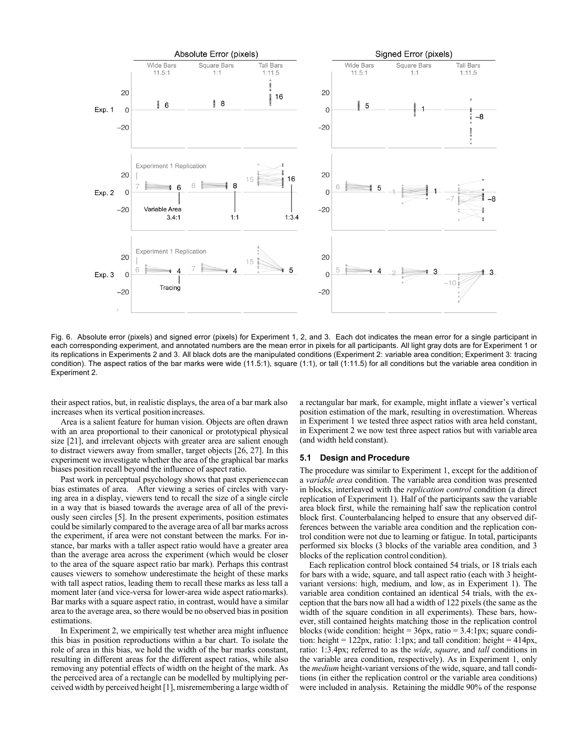

Fig. 6. Absolute error (pixels) and signed error (pixels) for Experiment 1, 2, and 3. Each dot indicates the mean error for a single participant in each corresponding experiment, and annotated numbers are the mean error in pixels for all participants. All light gray dots are for Experiment 1 or its replications in Experiments 2 and 3. All black dots are the manipulated conditions (Experiment 2: variable area condition; Experiment 3: tracing condition). The aspect ratios of the bar marks were wide (11.5:1), square (1:1), or tall (1:11.5) for all conditions but the variable area condition in Experiment 2.

their aspect ratios, but, in realistic displays, the area of a bar mark also increases when its vertical position increases.

Area is a salient feature for human vision. Objects are often drawn with an area proportional to their canonical or prototypical physical size [21], and irrelevant objects with greater area are salient enough to distract viewers away from smaller, target objects [26, 27]. In this experiment we investigate whether the area of the graphical bar marks biases position recall beyond the influence of aspect ratio.

Past work in perceptual psychology shows that past experiencecan bias estimates of area. After viewing a series of circles with varying area in a display, viewers tend to recall the size of a single circle in a way that is biased towards the average area of all of the previously seen circles [5]. In the present experiments, position estimates could be similarly compared to the average area of all bar marks across the experiment, if area were not constant between the marks. For instance, bar marks with a taller aspect ratio would have a greater area than the average area across the experiment (which would be closer to the area of the square aspect ratio bar mark). Perhaps this contrast causes viewers to somehow underestimate the height of these marks with tall aspect ratios, leading them to recall these marks as less tall a moment later (and vice-versa for lower-area wide aspect ratiomarks). Bar marks with a square aspect ratio, in contrast, would have a similar area to the average area, so there would be no observed biasin position estimations.

In Experiment 2, we empirically test whether area might influence this bias in position reproductions within a bar chart. To isolate the role of area in this bias, we hold the width of the bar marks constant, resulting in different areas for the different aspect ratios, while also removing any potential effects of width on the height of the mark. As the perceived area of a rectangle can be modelled by multiplying perceived width by perceived height[1], misremembering a large width of a rectangular bar mark, for example, might inflate a viewer's vertical position estimation of the mark, resulting in overestimation. Whereas in Experiment 1 we tested three aspect ratios with area held constant, in Experiment 2 we now test three aspect ratios but with variable area (and width held constant).

## **5.1 Design and Procedure**

The procedure was similar to Experiment 1, except for the additionof a *variable area* condition. The variable area condition was presented in blocks, interleaved with the *replication control* condition (a direct replication of Experiment 1). Half of the participants saw the variable area block first, while the remaining half saw the replication control block first. Counterbalancing helped to ensure that any observed differences between the variable area condition and the replication control condition were not due to learning or fatigue. In total, participants performed six blocks (3 blocks of the variable area condition, and 3 blocks of the replication control condition).

Each replication control block contained 54 trials, or 18 trials each for bars with a wide, square, and tall aspect ratio (each with 3 heightvariant versions: high, medium, and low, as in Experiment 1). The variable area condition contained an identical 54 trials, with the exception that the bars now all had a width of 122 pixels (the same as the width of the square condition in all experiments). These bars, however, still contained heights matching those in the replication control blocks (wide condition: height =  $36px$ , ratio =  $3.4:1px$ ; square condition: height =  $122px$ , ratio: 1:1px; and tall condition: height =  $414px$ , ratio: 1:3.4px; referred to as the *wide*, *square*, and *tall* conditions in the variable area condition, respectively). As in Experiment 1, only the *medium* height-variant versions of the wide, square, and tall conditions (in either the replication control or the variable area conditions) were included in analysis. Retaining the middle 90% of the response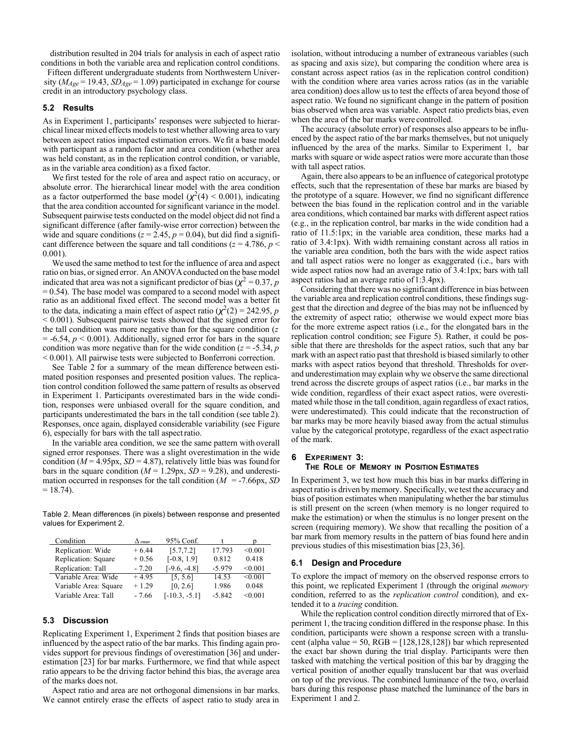distribution resulted in 204 trials for analysis in each of aspect ratio conditions in both the variable area and replication control conditions.

Fifteen different undergraduate students from Northwestern University (*MAge* = 19.43, *SDAge* = 1.09) participated in exchange for course credit in an introductory psychology class.

## **5.2 Results**

As in Experiment 1, participants' responses were subjected to hierarchical linear mixed effects models to test whether allowing area to vary between aspect ratios impacted estimation errors. We fit a base model with participant as a random factor and area condition (whether area was held constant, as in the replication control condition, or variable, as in the variable area condition) as a fixed factor.

We first tested for the role of area and aspect ratio on accuracy, or absolute error. The hierarchical linear model with the area condition as a factor outperformed the base model  $(\chi^2(4) \le 0.001)$ , indicating that the area condition accounted for significant variance in the model. Subsequent pairwise tests conducted on the model object did not find a significant difference (after family-wise error correction) between the wide and square conditions ( $z = 2.45$ ,  $p = 0.04$ ), but did find a significant difference between the square and tall conditions ( $z = 4.786$ ,  $p <$ 0.001).

We used the same method to test for the influence of area and aspect ratio on bias, or signed error. An ANOVA conducted on the base model indicated that area was not a significant predictor of bias ( $\chi^2 = 0.37$ , *p*  $= 0.54$ ). The base model was compared to a second model with aspect ratio as an additional fixed effect. The second model was a better fit to the data, indicating a main effect of aspect ratio ( $\chi^2(2) = 242.95$ , *p* < 0.001). Subsequent pairwise tests showed that the signed error for the tall condition was more negative than for the square condition (*z*  $= -6.54$ ,  $p < 0.001$ ). Additionally, signed error for bars in the square condition was more negative than for the wide condition ( $z = -5.34$ , *p* < 0.001). All pairwise tests were subjected to Bonferroni correction.

See Table 2 for a summary of the mean difference between estimated position responses and presented position values. The replication control condition followed the same pattern of results as observed in Experiment 1. Participants overestimated bars in the wide condition, responses were unbiased overall for the square condition, and participants underestimated the bars in the tall condition (see table 2). Responses, once again, displayed considerable variability (see Figure 6), especially for bars with the tall aspectratio.

In the variable area condition, we see the same pattern with overall signed error responses. There was a slight overestimation in the wide condition ( $M = 4.95px$ ,  $SD = 4.87$ ), relatively little bias was found for bars in the square condition ( $M = 1.29px$ ,  $SD = 9.28$ ), and underestimation occurred in responses for the tall condition (*M* = -7.66px, *SD*  $= 18.74$ ).

Table 2. Mean differences (in pixels) between response and presented values for Experiment 2.

| Condition             | $\Lambda$ mean | 95% Conf.       |          |         |
|-----------------------|----------------|-----------------|----------|---------|
| Replication: Wide     | $+6.44$        | [5.7, 7.2]      | 17.793   | < 0.001 |
| Replication: Square   | $+0.56$        | $[-0.8, 1.9]$   | 0.812    | 0.418   |
| Replication: Tall     | $-7.20$        | $[-9.6, -4.8]$  | $-5.979$ | < 0.001 |
| Variable Area: Wide   | $+4.95$        | [5, 5.6]        | 14.53    | < 0.001 |
| Variable Area: Square | $+1.29$        | [0, 2.6]        | 1.986    | 0.048   |
| Variable Area: Tall   | $-7.66$        | $[-10.3, -5.1]$ | $-5.842$ | < 0.001 |

## **5.3 Discussion**

Replicating Experiment 1, Experiment 2 finds that position biases are influenced by the aspect ratio of the bar marks. This finding again provides support for previous findings of overestimation [36] and underestimation [23] for bar marks. Furthermore, we find that while aspect ratio appears to be the driving factor behind this bias, the average area of the marks does not.

Aspect ratio and area are not orthogonal dimensions in bar marks. We cannot entirely erase the effects of aspect ratio to study area in isolation, without introducing a number of extraneous variables (such as spacing and axis size), but comparing the condition where area is constant across aspect ratios (as in the replication control condition) with the condition where area varies across ratios (as in the variable area condition) does allow us to test the effects of area beyond those of aspect ratio. We found no significant change in the pattern of position bias observed when area was variable. Aspect ratio predicts bias, even when the area of the bar marks were controlled.

The accuracy (absolute error) of responses also appears to be influenced by the aspect ratio of the bar marks themselves, but not uniquely influenced by the area of the marks. Similar to Experiment 1, bar marks with square or wide aspect ratios were more accurate than those with tall aspect ratios.

Again, there also appears to be an influence of categorical prototype effects, such that the representation of these bar marks are biased by the prototype of a square. However, we find no significant difference between the bias found in the replication control and in the variable area conditions, which contained bar marks with different aspect ratios (e.g., in the replication control, bar marks in the wide condition had a ratio of 11.5:1px; in the variable area condition, these marks had a ratio of 3.4:1px). With width remaining constant across all ratios in the variable area condition, both the bars with the wide aspect ratios and tall aspect ratios were no longer as exaggerated (i.e., bars with wide aspect ratios now had an average ratio of 3.4:1px; bars with tall aspect ratios had an average ratio of1:3.4px).

Considering that there was no significant difference in bias between the variable area and replication control conditions, these findings suggest that the direction and degree of the bias may not be influenced by the extremity of aspect ratio; otherwise we would expect more bias for the more extreme aspect ratios (i.e., for the elongated bars in the replication control condition; see Figure 5). Rather, it could be possible that there are thresholds for the aspect ratios, such that any bar mark with an aspect ratio past that threshold is biased similarly to other marks with aspect ratios beyond that threshold. Thresholds for overand underestimation may explain why we observe the same directional trend across the discrete groups of aspect ratios (i.e., bar marks in the wide condition, regardless of their exact aspect ratios, were overestimated while those in the tall condition, again regardless of exact ratios, were underestimated). This could indicate that the reconstruction of bar marks may be more heavily biased away from the actual stimulus value by the categorical prototype, regardless of the exact aspectratio of the mark.

## **6 EXPERIMENT 3: THE ROLE OF MEMORY IN POSITION ESTIMATES**

In Experiment 3, we test how much this bias in bar marks differing in aspect ratio is driven by memory. Specifically, we test the accuracy and bias of position estimates when manipulating whether the bar stimulus is still present on the screen (when memory is no longer required to make the estimation) or when the stimulus is no longer present on the screen (requiring memory). We show that recalling the position of a bar mark from memory results in the pattern of bias found here andin previous studies of this misestimation bias [23,36].

## **6.1 Design and Procedure**

To explore the impact of memory on the observed response errors to this point, we replicated Experiment 1 (through the original *memory*  condition, referred to as the *replication control* condition), and extended it to a *tracing* condition.

While the replication control condition directly mirrored that of Experiment 1, the tracing condition differed in the response phase. In this condition, participants were shown a response screen with a translucent (alpha value = 50,  $RGB = [128, 128, 128]$ ) bar which represented the exact bar shown during the trial display. Participants were then tasked with matching the vertical position of this bar by dragging the vertical position of another equally translucent bar that was overlaid on top of the previous. The combined luminance of the two, overlaid bars during this response phase matched the luminance of the bars in Experiment 1 and 2.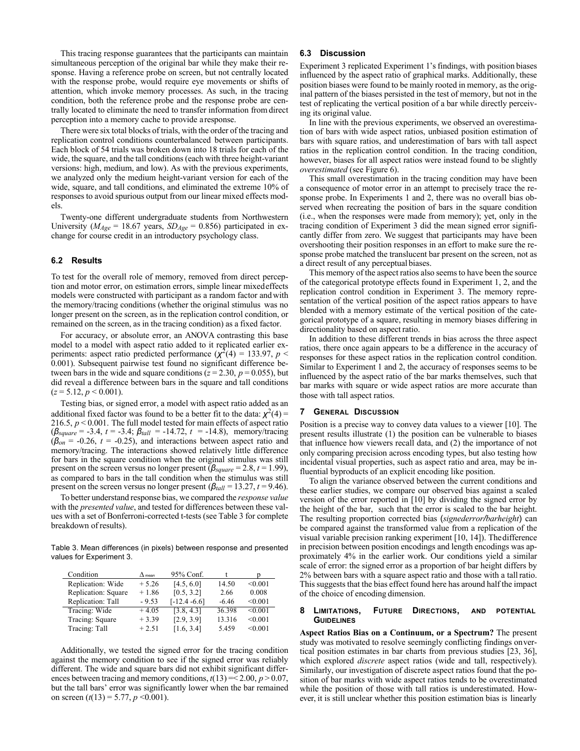This tracing response guarantees that the participants can maintain simultaneous perception of the original bar while they make their response. Having a reference probe on screen, but not centrally located with the response probe, would require eye movements or shifts of attention, which invoke memory processes. As such, in the tracing condition, both the reference probe and the response probe are centrally located to eliminate the need to transfer information fromdirect perception into a memory cache to provide aresponse.

There were six total blocks of trials, with the order of the tracing and replication control conditions counterbalanced between participants. Each block of 54 trials was broken down into 18 trials for each of the wide, the square, and the tall conditions(each with three height-variant versions: high, medium, and low). As with the previous experiments, we analyzed only the medium height-variant version for each of the wide, square, and tall conditions, and eliminated the extreme 10% of responses to avoid spurious output from our linear mixed effects models.

Twenty-one different undergraduate students from Northwestern University ( $M_{Age} = 18.67$  years,  $SD_{Age} = 0.856$ ) participated in exchange for course credit in an introductory psychology class.

# **6.2 Results**

To test for the overall role of memory, removed from direct perception and motor error, on estimation errors, simple linear mixedeffects models were constructed with participant as a random factor andwith the memory/tracing conditions (whether the original stimulus was no longer present on the screen, as in the replication control condition, or remained on the screen, as in the tracing condition) as a fixed factor.

For accuracy, or absolute error, an ANOVA contrasting this base model to a model with aspect ratio added to it replicated earlier experiments: aspect ratio predicted performance  $(\chi^2(4) = 133.97, p <$ 0.001). Subsequent pairwise test found no significant difference between bars in the wide and square conditions ( $z = 2.30$ ,  $p = 0.055$ ), but did reveal a difference between bars in the square and tall conditions  $(z = 5.12, p < 0.001)$ .

Testing bias, or signed error, a model with aspect ratio added as an additional fixed factor was found to be a better fit to the data:  $\chi^2(4)$  = 216.5, *p* < 0.001. The full model tested for main effects of aspect ratio (*βsquare* = -3.4, *t* = -3.4; *βtall* = -14.72, *t* = -14.8), memory/tracing  $(\beta_{on} = -0.26, t = -0.25)$ , and interactions between aspect ratio and memory/tracing. The interactions showed relatively little difference for bars in the square condition when the original stimulus was still present on the screen versus no longer present  $(\beta_{square} = 2.8, t = 1.99)$ , as compared to bars in the tall condition when the stimulus was still present on the screen versus no longer present ( $\beta_{tall}$  = 13.27, *t* = 9.46).

To better understand response bias, we compared the *response value*  with the *presented value*, and tested for differences between these values with a set of Bonferroni-corrected t-tests (see Table 3 for complete breakdown of results).

Table 3. Mean differences (in pixels) between response and presented values for Experiment 3.

| Condition           | $\Lambda$ mean | 95% Conf.       |         |         |
|---------------------|----------------|-----------------|---------|---------|
| Replication: Wide   | $+5.26$        | [4.5, 6.0]      | 14.50   | < 0.001 |
| Replication: Square | $+1.86$        | [0.5, 3.2]      | 2.66    | 0.008   |
| Replication: Tall   | $-9.53$        | $[-12.4 - 6.6]$ | $-6.46$ | < 0.001 |
| Tracing: Wide       | $+4.05$        | [3.8, 4.3]      | 36.398  | < 0.001 |
| Tracing: Square     | $+3.39$        | [2.9, 3.9]      | 13.316  | < 0.001 |
| Tracing: Tall       | $+2.51$        | [1.6, 3.4]      | 5.459   | < 0.001 |

Additionally, we tested the signed error for the tracing condition against the memory condition to see if the signed error was reliably different. The wide and square bars did not exhibit significant differences between tracing and memory conditions,  $t(13) = 2.00, p > 0.07$ , but the tall bars' error was significantly lower when the bar remained on screen  $(t(13) = 5.77, p \le 0.001)$ .

# **6.3 Discussion**

Experiment 3 replicated Experiment 1's findings, with position biases influenced by the aspect ratio of graphical marks. Additionally, these position biases were found to be mainly rooted in memory, as the original pattern of the biases persisted in the test of memory, but not in the test of replicating the vertical position of a bar while directly perceiving its original value.

In line with the previous experiments, we observed an overestimation of bars with wide aspect ratios, unbiased position estimation of bars with square ratios, and underestimation of bars with tall aspect ratios in the replication control condition. In the tracing condition, however, biases for all aspect ratios were instead found to be slightly *overestimated* (see Figure 6).

This small overestimation in the tracing condition may have been a consequence of motor error in an attempt to precisely trace the response probe. In Experiments 1 and 2, there was no overall bias observed when recreating the position of bars in the square condition (i.e., when the responses were made from memory); yet, only in the tracing condition of Experiment 3 did the mean signed error significantly differ from zero. We suggest that participants may have been overshooting their position responses in an effort to make sure the response probe matched the translucent bar present on the screen, not as a direct result of any perceptual biases.

This memory of the aspect ratios also seemsto have been the source of the categorical prototype effects found in Experiment 1, 2, and the replication control condition in Experiment 3. The memory representation of the vertical position of the aspect ratios appears to have blended with a memory estimate of the vertical position of the categorical prototype of a square, resulting in memory biases differing in directionality based on aspect ratio.

In addition to these different trends in bias across the three aspect ratios, there once again appears to be a difference in the accuracy of responses for these aspect ratios in the replication control condition. Similar to Experiment 1 and 2, the accuracy of responses seems to be influenced by the aspect ratio of the bar marks themselves, such that bar marks with square or wide aspect ratios are more accurate than those with tall aspect ratios.

#### **7 GENERAL DISCUSSION**

Position is a precise way to convey data values to a viewer [10]. The present results illustrate (1) the position can be vulnerable to biases that influence how viewers recall data, and (2) the importance of not only comparing precision across encoding types, but also testing how incidental visual properties, such as aspect ratio and area, may be influential byproducts of an explicit encoding like position.

To align the variance observed between the current conditions and these earlier studies, we compare our observed bias against a scaled version of the error reported in [10] by dividing the signed error by the height of the bar, such that the error is scaled to the bar height. The resulting proportion corrected bias (*signederror/barheight*) can be compared against the transformed value from a replication of the visual variable precision ranking experiment [10, 14]). Thedifference in precision between position encodings and length encodings was approximately 4% in the earlier work. Our conditions yield a similar scale of error: the signed error as a proportion of bar height differs by 2% between bars with a square aspect ratio and those with a tallratio. Thissuggests that the bias effect found here has around half the impact of the choice of encoding dimension.

## **8 LIMITATIONS, FUTURE DIRECTIONS, AND POTENTIAL GUIDELINES**

**Aspect Ratios Bias on a Continuum, or a Spectrum?** The present study was motivated to resolve seemingly conflicting findings onvertical position estimates in bar charts from previous studies [23, 36], which explored *discrete* aspect ratios (wide and tall, respectively). Similarly, our investigation of discrete aspect ratios found that the position of bar marks with wide aspect ratios tends to be overestimated while the position of those with tall ratios is underestimated. However, it is still unclear whether this position estimation bias is linearly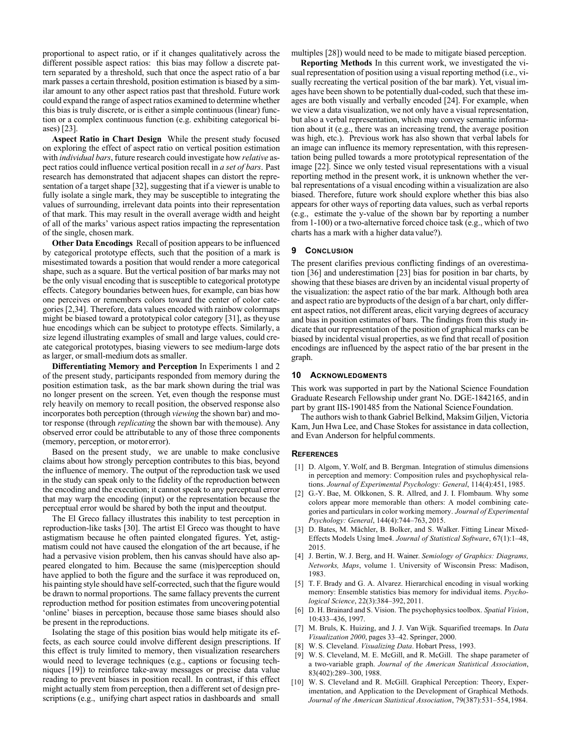proportional to aspect ratio, or if it changes qualitatively across the different possible aspect ratios: this bias may follow a discrete pattern separated by a threshold, such that once the aspect ratio of a bar mark passes a certain threshold, position estimation is biased by a similar amount to any other aspect ratios past that threshold. Future work could expand the range of aspect ratios examined to determine whether this bias is truly discrete, or is either a simple continuous (linear) function or a complex continuous function (e.g. exhibiting categorical biases) [23].

**Aspect Ratio in Chart Design** While the present study focused on exploring the effect of aspect ratio on vertical position estimation with *individual bars*, future research could investigate how *relative* aspect ratios could influence vertical position recall in *a set of bars*. Past research has demonstrated that adjacent shapes can distort the representation of a target shape [32], suggesting that if a viewer is unable to fully isolate a single mark, they may be susceptible to integrating the values of surrounding, irrelevant data points into their representation of that mark. This may result in the overall average width and height of all of the marks' various aspect ratios impacting the representation of the single, chosen mark.

**Other Data Encodings** Recall of position appears to be influenced by categorical prototype effects, such that the position of a mark is misestimated towards a position that would render a more categorical shape, such as a square. But the vertical position of bar marks may not be the only visual encoding that is susceptible to categorical prototype effects. Category boundaries between hues, for example, can bias how one perceives or remembers colors toward the center of color categories [2,34]. Therefore, data values encoded with rainbow colormaps might be biased toward a prototypical color category [31], as theyuse hue encodings which can be subject to prototype effects. Similarly, a size legend illustrating examples of small and large values, could create categorical prototypes, biasing viewers to see medium-large dots as larger, or small-medium dots as smaller.

**Differentiating Memory and Perception** In Experiments 1 and 2 of the present study, participants responded from memory during the position estimation task, as the bar mark shown during the trial was no longer present on the screen. Yet, even though the response must rely heavily on memory to recall position, the observed response also incorporates both perception (through *viewing* the shown bar) and motor response (through *replicating* the shown bar with themouse). Any observed error could be attributable to any of those three components (memory, perception, or motorerror).

Based on the present study, we are unable to make conclusive claims about how strongly perception contributes to this bias, beyond the influence of memory. The output of the reproduction task we used in the study can speak only to the fidelity of the reproduction between the encoding and the execution; it cannot speak to any perceptual error that may warp the encoding (input) or the representation because the perceptual error would be shared by both the input and theoutput.

The El Greco fallacy illustrates this inability to test perception in reproduction-like tasks [30]. The artist El Greco was thought to have astigmatism because he often painted elongated figures. Yet, astigmatism could not have caused the elongation of the art because, if he had a pervasive vision problem, then his canvas should have also appeared elongated to him. Because the same (mis)perception should have applied to both the figure and the surface it was reproduced on, his painting style should have self-corrected, such that the figure would be drawn to normal proportions. The same fallacy prevents the current reproduction method for position estimates from uncoveringpotential 'online' biases in perception, because those same biases should also be present in the reproductions.

Isolating the stage of this position bias would help mitigate its effects, as each source could involve different design prescriptions. If this effect is truly limited to memory, then visualization researchers would need to leverage techniques (e.g., captions or focusing techniques [19]) to reinforce take-away messages or precise data value reading to prevent biases in position recall. In contrast, if this effect might actually stem from perception, then a different set of design prescriptions (e.g., unifying chart aspect ratios in dashboards and small

multiples [28]) would need to be made to mitigate biased perception.

**Reporting Methods** In this current work, we investigated the visual representation of position using a visual reporting method (i.e., visually recreating the vertical position of the bar mark). Yet, visual images have been shown to be potentially dual-coded, such that these images are both visually and verbally encoded [24]. For example, when we view a data visualization, we not only have a visual representation, but also a verbal representation, which may convey semantic information about it (e.g., there was an increasing trend, the average position was high, etc.). Previous work has also shown that verbal labels for an image can influence its memory representation, with thisrepresentation being pulled towards a more prototypical representation of the image [22]. Since we only tested visual representations with a visual reporting method in the present work, it is unknown whether the verbal representations of a visual encoding within a visualization are also biased. Therefore, future work should explore whether this bias also appears for other ways of reporting data values, such as verbal reports (e.g., estimate the y-value of the shown bar by reporting a number from 1-100) or a two-alternative forced choice task (e.g., which of two charts has a mark with a higher datavalue?).

# **9 CONCLUSION**

The present clarifies previous conflicting findings of an overestimation [36] and underestimation [23] bias for position in bar charts, by showing that these biases are driven by an incidental visual property of the visualization: the aspect ratio of the bar mark. Although both area and aspect ratio are byproducts of the design of a bar chart, only different aspect ratios, not different areas, elicit varying degrees of accuracy and bias in position estimates of bars. The findings from this study indicate that our representation of the position of graphical marks can be biased by incidental visual properties, as we find that recall of position encodings are influenced by the aspect ratio of the bar present in the graph.

#### **10 ACKNOWLEDGMENTS**

This work was supported in part by the National Science Foundation Graduate Research Fellowship under grant No. DGE-1842165, andin part by grant IIS-1901485 from the National Science Foundation.

The authors wish to thank Gabriel Belkind, Maksim Giljen, Victoria Kam, Jun Hwa Lee, and Chase Stokes for assistance in data collection, and Evan Anderson for helpful comments.

#### **REFERENCES**

- [1] D. Algom, Y. Wolf, and B. Bergman. Integration of stimulus dimensions in perception and memory: Composition rules and psychophysical relations. *Journal of Experimental Psychology: General*, 114(4):451, 1985.
- [2] G.-Y. Bae, M. Olkkonen, S. R. Allred, and J. I. Flombaum. Why some colors appear more memorable than others: A model combining categories and particulars in color working memory. *Journal of Experimental Psychology: General*, 144(4):744–763, 2015.
- [3] D. Bates, M. Mächler, B. Bolker, and S. Walker. Fitting Linear Mixed-Effects Models Using lme4. *Journal of Statistical Software*, 67(1):1–48, 2015.
- [4] J. Bertin, W. J. Berg, and H. Wainer. *Semiology of Graphics: Diagrams, Networks, Maps*, volume 1. University of Wisconsin Press: Madison, 1983.
- [5] T. F. Brady and G. A. Alvarez. Hierarchical encoding in visual working memory: Ensemble statistics bias memory for individual items. *Psychological Science*, 22(3):384–392, 2011.
- [6] D. H. Brainard and S. Vision. The psychophysics toolbox. *Spatial Vision*, 10:433–436, 1997.
- [7] M. Bruls, K. Huizing, and J. J. Van Wijk. Squarified treemaps. In *Data Visualization 2000*, pages 33–42. Springer, 2000.
- [8] W. S. Cleveland. *Visualizing Data*. Hobart Press, 1993.
- [9] W. S. Cleveland, M. E. McGill, and R. McGill. The shape parameter of a two-variable graph. *Journal of the American Statistical Association*, 83(402):289–300, 1988.
- [10] W. S. Cleveland and R. McGill. Graphical Perception: Theory, Experimentation, and Application to the Development of Graphical Methods. *Journal of the American Statistical Association*, 79(387):531–554,1984.